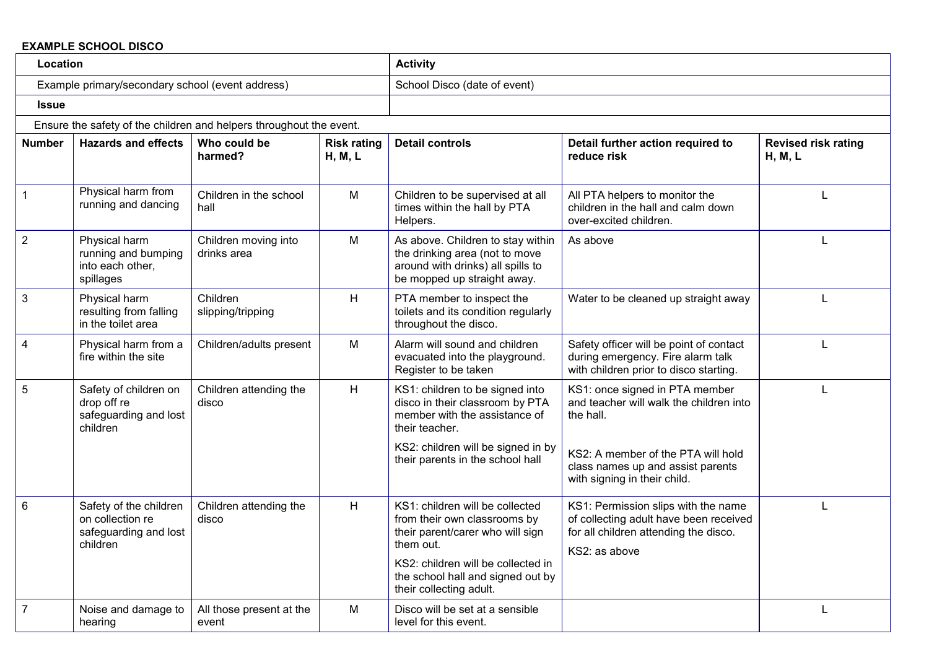## **EXAMPLE SCHOOL DISCO**

| Location                                         |                                                                                 |                                                                     |                               | <b>Activity</b>                                                                                                                                                                                                        |                                                                                                                                         |                                       |
|--------------------------------------------------|---------------------------------------------------------------------------------|---------------------------------------------------------------------|-------------------------------|------------------------------------------------------------------------------------------------------------------------------------------------------------------------------------------------------------------------|-----------------------------------------------------------------------------------------------------------------------------------------|---------------------------------------|
| Example primary/secondary school (event address) |                                                                                 |                                                                     |                               | School Disco (date of event)                                                                                                                                                                                           |                                                                                                                                         |                                       |
| <b>Issue</b>                                     |                                                                                 |                                                                     |                               |                                                                                                                                                                                                                        |                                                                                                                                         |                                       |
|                                                  |                                                                                 | Ensure the safety of the children and helpers throughout the event. |                               |                                                                                                                                                                                                                        |                                                                                                                                         |                                       |
| <b>Number</b>                                    | <b>Hazards and effects</b>                                                      | Who could be<br>harmed?                                             | <b>Risk rating</b><br>H, M, L | <b>Detail controls</b>                                                                                                                                                                                                 | Detail further action required to<br>reduce risk                                                                                        | <b>Revised risk rating</b><br>H, M, L |
| $\mathbf{1}$                                     | Physical harm from<br>running and dancing                                       | Children in the school<br>hall                                      | M                             | Children to be supervised at all<br>times within the hall by PTA<br>Helpers.                                                                                                                                           | All PTA helpers to monitor the<br>children in the hall and calm down<br>over-excited children.                                          | L                                     |
| $\overline{2}$                                   | Physical harm<br>running and bumping<br>into each other,<br>spillages           | Children moving into<br>drinks area                                 | м                             | As above. Children to stay within<br>the drinking area (not to move<br>around with drinks) all spills to<br>be mopped up straight away.                                                                                | As above                                                                                                                                |                                       |
| $\mathbf{3}$                                     | Physical harm<br>resulting from falling<br>in the toilet area                   | Children<br>slipping/tripping                                       | H                             | PTA member to inspect the<br>toilets and its condition regularly<br>throughout the disco.                                                                                                                              | Water to be cleaned up straight away                                                                                                    |                                       |
| $\overline{4}$                                   | Physical harm from a<br>fire within the site                                    | Children/adults present                                             | M                             | Alarm will sound and children<br>evacuated into the playground.<br>Register to be taken                                                                                                                                | Safety officer will be point of contact<br>during emergency. Fire alarm talk<br>with children prior to disco starting.                  |                                       |
| 5                                                | Safety of children on<br>drop off re<br>safeguarding and lost<br>children       | Children attending the<br>disco                                     | H                             | KS1: children to be signed into<br>disco in their classroom by PTA<br>member with the assistance of<br>their teacher.                                                                                                  | KS1: once signed in PTA member<br>and teacher will walk the children into<br>the hall.                                                  |                                       |
|                                                  |                                                                                 |                                                                     |                               | KS2: children will be signed in by<br>their parents in the school hall                                                                                                                                                 | KS2: A member of the PTA will hold<br>class names up and assist parents<br>with signing in their child.                                 |                                       |
| $6\phantom{1}$                                   | Safety of the children<br>on collection re<br>safeguarding and lost<br>children | Children attending the<br>disco                                     | H                             | KS1: children will be collected<br>from their own classrooms by<br>their parent/carer who will sign<br>them out.<br>KS2: children will be collected in<br>the school hall and signed out by<br>their collecting adult. | KS1: Permission slips with the name<br>of collecting adult have been received<br>for all children attending the disco.<br>KS2: as above |                                       |
| $\overline{7}$                                   | Noise and damage to<br>hearing                                                  | All those present at the<br>event                                   | M                             | Disco will be set at a sensible<br>level for this event.                                                                                                                                                               |                                                                                                                                         |                                       |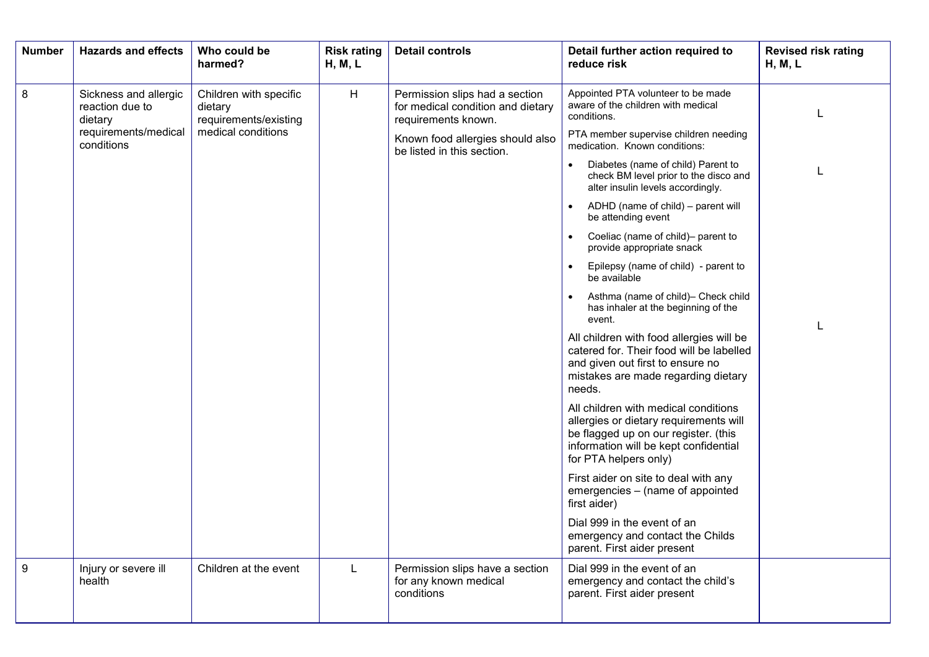| <b>Number</b>    | <b>Hazards and effects</b>                          | Who could be<br>harmed?                                    | <b>Risk rating</b><br>H, M, L | <b>Detail controls</b>                                                                     | Detail further action required to<br>reduce risk                                                                                                                                         | <b>Revised risk rating</b><br>H, M, L |
|------------------|-----------------------------------------------------|------------------------------------------------------------|-------------------------------|--------------------------------------------------------------------------------------------|------------------------------------------------------------------------------------------------------------------------------------------------------------------------------------------|---------------------------------------|
| 8                | Sickness and allergic<br>reaction due to<br>dietary | Children with specific<br>dietary<br>requirements/existing | H                             | Permission slips had a section<br>for medical condition and dietary<br>requirements known. | Appointed PTA volunteer to be made<br>aware of the children with medical<br>conditions.                                                                                                  |                                       |
|                  | requirements/medical<br>conditions                  | medical conditions                                         |                               | Known food allergies should also<br>be listed in this section.                             | PTA member supervise children needing<br>medication. Known conditions:                                                                                                                   |                                       |
|                  |                                                     |                                                            |                               |                                                                                            | Diabetes (name of child) Parent to<br>check BM level prior to the disco and<br>alter insulin levels accordingly.                                                                         |                                       |
|                  |                                                     |                                                            |                               |                                                                                            | ADHD (name of child) - parent will<br>be attending event                                                                                                                                 |                                       |
|                  |                                                     |                                                            |                               |                                                                                            | Coeliac (name of child)- parent to<br>provide appropriate snack                                                                                                                          |                                       |
|                  |                                                     |                                                            |                               |                                                                                            | Epilepsy (name of child) - parent to<br>be available                                                                                                                                     |                                       |
|                  |                                                     |                                                            |                               |                                                                                            | Asthma (name of child)- Check child<br>has inhaler at the beginning of the<br>event.                                                                                                     |                                       |
|                  |                                                     |                                                            |                               |                                                                                            | All children with food allergies will be<br>catered for. Their food will be labelled<br>and given out first to ensure no<br>mistakes are made regarding dietary<br>needs.                |                                       |
|                  |                                                     |                                                            |                               |                                                                                            | All children with medical conditions<br>allergies or dietary requirements will<br>be flagged up on our register. (this<br>information will be kept confidential<br>for PTA helpers only) |                                       |
|                  |                                                     |                                                            |                               |                                                                                            | First aider on site to deal with any<br>emergencies - (name of appointed<br>first aider)                                                                                                 |                                       |
|                  |                                                     |                                                            |                               |                                                                                            | Dial 999 in the event of an<br>emergency and contact the Childs<br>parent. First aider present                                                                                           |                                       |
| $\boldsymbol{9}$ | Injury or severe ill<br>health                      | Children at the event                                      | $\mathbf{L}$                  | Permission slips have a section<br>for any known medical<br>conditions                     | Dial 999 in the event of an<br>emergency and contact the child's<br>parent. First aider present                                                                                          |                                       |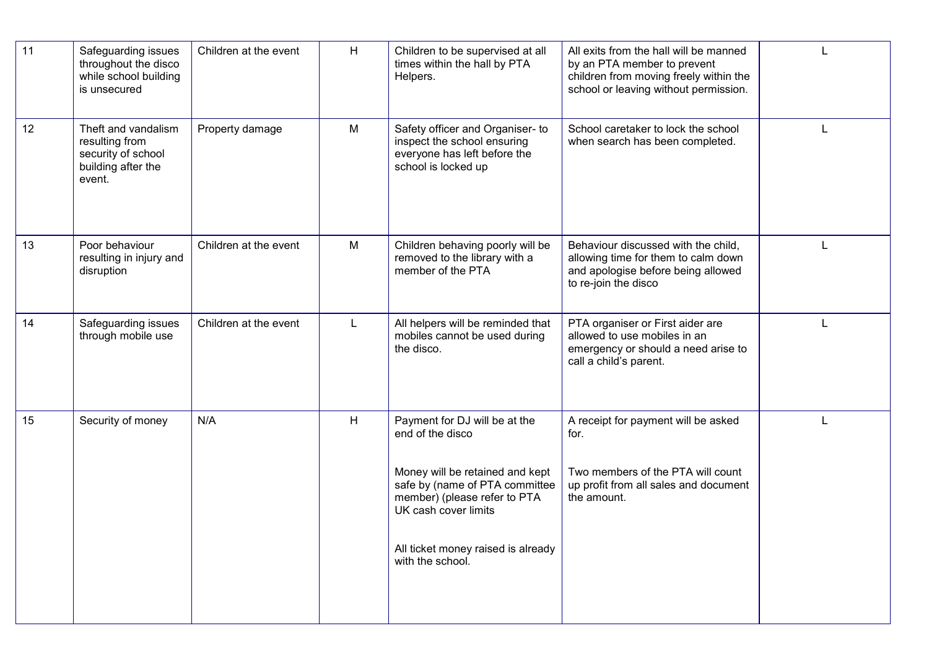| 11 | Safeguarding issues<br>throughout the disco<br>while school building<br>is unsecured        | Children at the event | H            | Children to be supervised at all<br>times within the hall by PTA<br>Helpers.                                                                                                                                                             | All exits from the hall will be manned<br>by an PTA member to prevent<br>children from moving freely within the<br>school or leaving without permission. |  |
|----|---------------------------------------------------------------------------------------------|-----------------------|--------------|------------------------------------------------------------------------------------------------------------------------------------------------------------------------------------------------------------------------------------------|----------------------------------------------------------------------------------------------------------------------------------------------------------|--|
| 12 | Theft and vandalism<br>resulting from<br>security of school<br>building after the<br>event. | Property damage       | M            | Safety officer and Organiser- to<br>inspect the school ensuring<br>everyone has left before the<br>school is locked up                                                                                                                   | School caretaker to lock the school<br>when search has been completed.                                                                                   |  |
| 13 | Poor behaviour<br>resulting in injury and<br>disruption                                     | Children at the event | M            | Children behaving poorly will be<br>removed to the library with a<br>member of the PTA                                                                                                                                                   | Behaviour discussed with the child,<br>allowing time for them to calm down<br>and apologise before being allowed<br>to re-join the disco                 |  |
| 14 | Safeguarding issues<br>through mobile use                                                   | Children at the event | $\mathsf{L}$ | All helpers will be reminded that<br>mobiles cannot be used during<br>the disco.                                                                                                                                                         | PTA organiser or First aider are<br>allowed to use mobiles in an<br>emergency or should a need arise to<br>call a child's parent.                        |  |
| 15 | Security of money                                                                           | N/A                   | H            | Payment for DJ will be at the<br>end of the disco<br>Money will be retained and kept<br>safe by (name of PTA committee<br>member) (please refer to PTA<br>UK cash cover limits<br>All ticket money raised is already<br>with the school. | A receipt for payment will be asked<br>for.<br>Two members of the PTA will count<br>up profit from all sales and document<br>the amount.                 |  |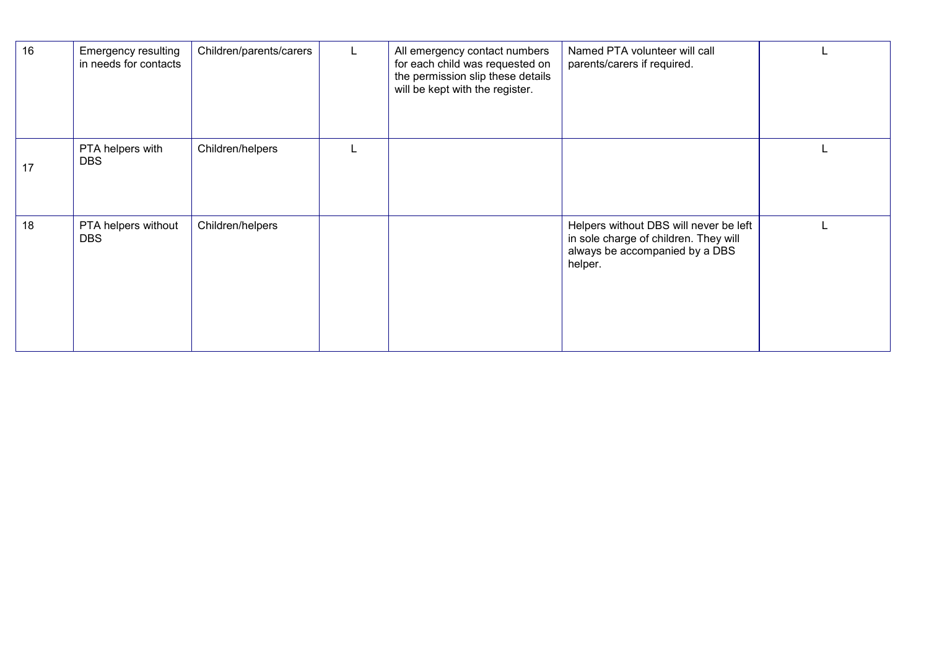| 16 | <b>Emergency resulting</b><br>in needs for contacts | Children/parents/carers | All emergency contact numbers<br>for each child was requested on<br>the permission slip these details<br>will be kept with the register. | Named PTA volunteer will call<br>parents/carers if required.                                                                 |  |
|----|-----------------------------------------------------|-------------------------|------------------------------------------------------------------------------------------------------------------------------------------|------------------------------------------------------------------------------------------------------------------------------|--|
| 17 | PTA helpers with<br><b>DBS</b>                      | Children/helpers        |                                                                                                                                          |                                                                                                                              |  |
| 18 | PTA helpers without<br><b>DBS</b>                   | Children/helpers        |                                                                                                                                          | Helpers without DBS will never be left<br>in sole charge of children. They will<br>always be accompanied by a DBS<br>helper. |  |